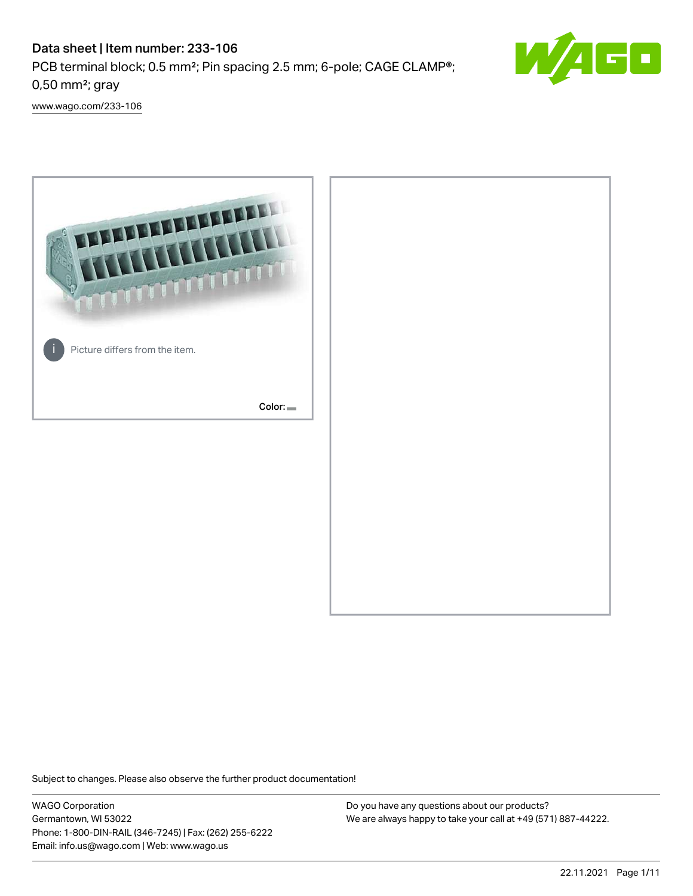# Data sheet | Item number: 233-106 PCB terminal block; 0.5 mm²; Pin spacing 2.5 mm; 6-pole; CAGE CLAMP®; 0,50 mm²; gray



[www.wago.com/233-106](http://www.wago.com/233-106)



Subject to changes. Please also observe the further product documentation!

WAGO Corporation Germantown, WI 53022 Phone: 1-800-DIN-RAIL (346-7245) | Fax: (262) 255-6222 Email: info.us@wago.com | Web: www.wago.us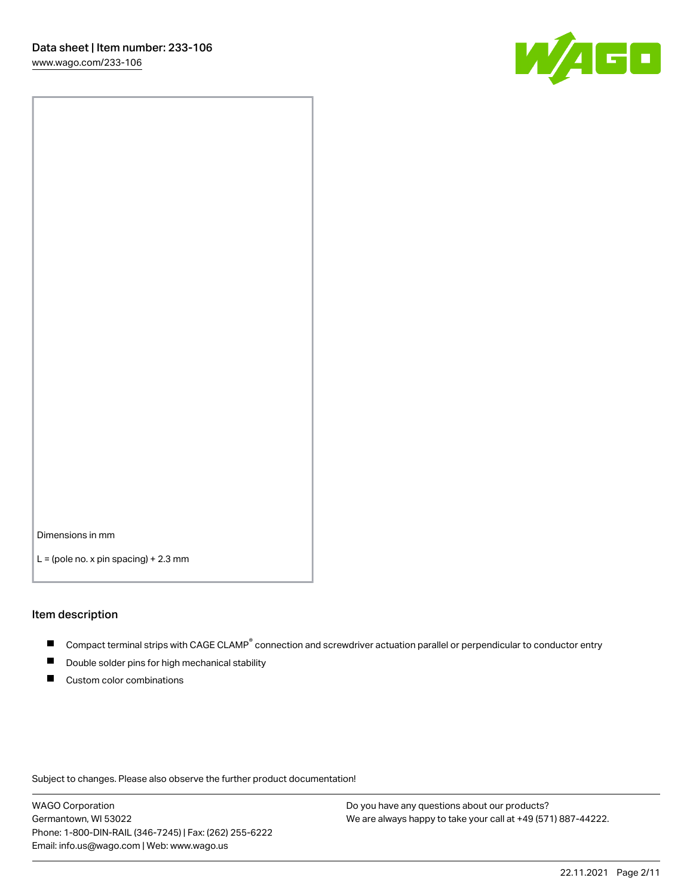

Dimensions in mm

 $L =$  (pole no. x pin spacing) + 2.3 mm

#### Item description

- Compact terminal strips with CAGE CLAMP<sup>®</sup> connection and screwdriver actuation parallel or perpendicular to conductor entry
- Double solder pins for high mechanical stability
- Custom color combinations

Subject to changes. Please also observe the further product documentation!

WAGO Corporation Germantown, WI 53022 Phone: 1-800-DIN-RAIL (346-7245) | Fax: (262) 255-6222 Email: info.us@wago.com | Web: www.wago.us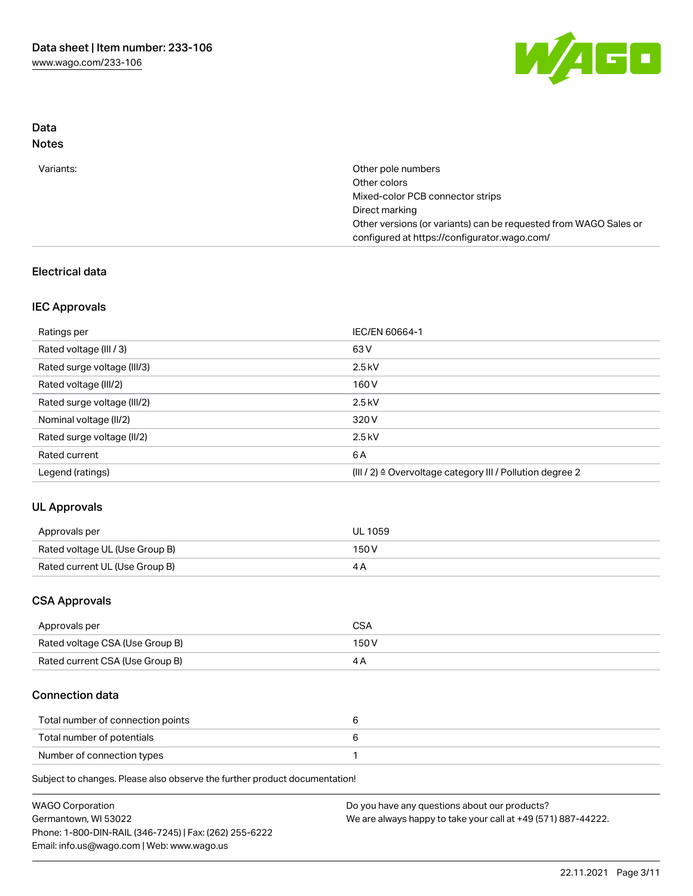

# Data Notes

| Variants: | Other pole numbers                                               |
|-----------|------------------------------------------------------------------|
|           | Other colors                                                     |
|           | Mixed-color PCB connector strips                                 |
|           | Direct marking                                                   |
|           | Other versions (or variants) can be requested from WAGO Sales or |
|           | configured at https://configurator.wago.com/                     |

# Electrical data

# IEC Approvals

| Ratings per                 | IEC/EN 60664-1                                                        |
|-----------------------------|-----------------------------------------------------------------------|
| Rated voltage (III / 3)     | 63 V                                                                  |
| Rated surge voltage (III/3) | $2.5$ kV                                                              |
| Rated voltage (III/2)       | 160 V                                                                 |
| Rated surge voltage (III/2) | $2.5$ kV                                                              |
| Nominal voltage (II/2)      | 320 V                                                                 |
| Rated surge voltage (II/2)  | $2.5$ kV                                                              |
| Rated current               | 6 A                                                                   |
| Legend (ratings)            | $(III / 2)$ $\triangle$ Overvoltage category III / Pollution degree 2 |

# UL Approvals

| Approvals per                  | <b>UL 1059</b> |
|--------------------------------|----------------|
| Rated voltage UL (Use Group B) | 150V           |
| Rated current UL (Use Group B) |                |

# CSA Approvals

| Approvals per                   | CSA   |
|---------------------------------|-------|
| Rated voltage CSA (Use Group B) | 150 V |
| Rated current CSA (Use Group B) |       |

## Connection data

| Total number of connection points |  |
|-----------------------------------|--|
| Total number of potentials        |  |
| Number of connection types        |  |

Subject to changes. Please also observe the further product documentation!

| <b>WAGO Corporation</b>                                | Do you have any questions about our products?                 |
|--------------------------------------------------------|---------------------------------------------------------------|
| Germantown, WI 53022                                   | We are always happy to take your call at +49 (571) 887-44222. |
| Phone: 1-800-DIN-RAIL (346-7245)   Fax: (262) 255-6222 |                                                               |
| Email: info.us@wago.com   Web: www.wago.us             |                                                               |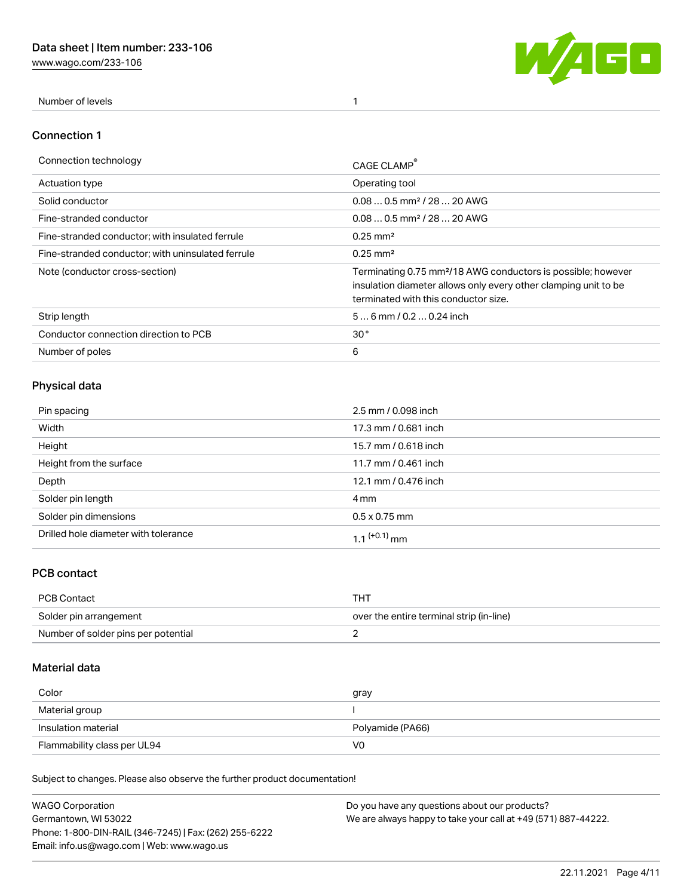[www.wago.com/233-106](http://www.wago.com/233-106)



Number of levels 1

#### Connection 1

| Connection technology                             | CAGE CLAMP                                                                                                                                                                          |
|---------------------------------------------------|-------------------------------------------------------------------------------------------------------------------------------------------------------------------------------------|
| <b>Actuation type</b>                             | Operating tool                                                                                                                                                                      |
| Solid conductor                                   | $0.080.5$ mm <sup>2</sup> / 28  20 AWG                                                                                                                                              |
| Fine-stranded conductor                           | $0.080.5$ mm <sup>2</sup> / 28  20 AWG                                                                                                                                              |
| Fine-stranded conductor; with insulated ferrule   | $0.25 \text{ mm}^2$                                                                                                                                                                 |
| Fine-stranded conductor: with uninsulated ferrule | $0.25 \text{ mm}^2$                                                                                                                                                                 |
| Note (conductor cross-section)                    | Terminating 0.75 mm <sup>2</sup> /18 AWG conductors is possible; however<br>insulation diameter allows only every other clamping unit to be<br>terminated with this conductor size. |
| Strip length                                      | $56$ mm $/ 0.20.24$ inch                                                                                                                                                            |
| Conductor connection direction to PCB             | 30 <sup>°</sup>                                                                                                                                                                     |
| Number of poles                                   | 6                                                                                                                                                                                   |

# Physical data

| Pin spacing                          | 2.5 mm / 0.098 inch  |
|--------------------------------------|----------------------|
| Width                                | 17.3 mm / 0.681 inch |
| Height                               | 15.7 mm / 0.618 inch |
| Height from the surface              | 11.7 mm / 0.461 inch |
| Depth                                | 12.1 mm / 0.476 inch |
| Solder pin length                    | 4 mm                 |
| Solder pin dimensions                | $0.5 \times 0.75$ mm |
| Drilled hole diameter with tolerance | 1 1 $(+0.1)$ mm      |

# PCB contact

| PCB Contact                         | THT                                      |
|-------------------------------------|------------------------------------------|
| Solder pin arrangement              | over the entire terminal strip (in-line) |
| Number of solder pins per potential |                                          |

# Material data

| Color                       | gray             |
|-----------------------------|------------------|
| Material group              |                  |
| Insulation material         | Polyamide (PA66) |
| Flammability class per UL94 | V0               |

Subject to changes. Please also observe the further product documentation!

| <b>WAGO Corporation</b>                                | Do you have any questions about our products?                 |
|--------------------------------------------------------|---------------------------------------------------------------|
| Germantown, WI 53022                                   | We are always happy to take your call at +49 (571) 887-44222. |
| Phone: 1-800-DIN-RAIL (346-7245)   Fax: (262) 255-6222 |                                                               |
| Email: info.us@wago.com   Web: www.wago.us             |                                                               |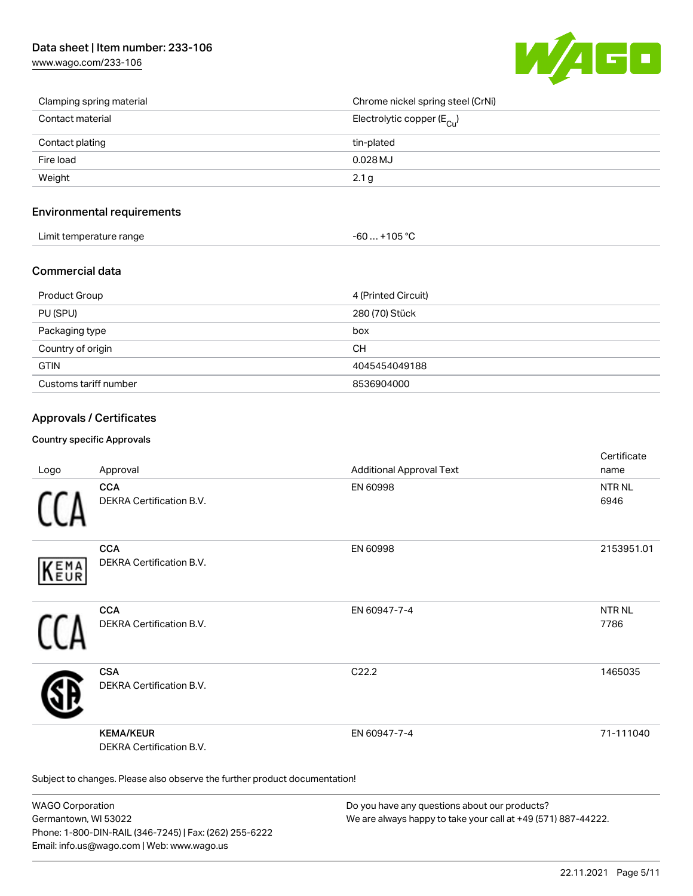# Data sheet | Item number: 233-106

[www.wago.com/233-106](http://www.wago.com/233-106)



| Clamping spring material | Chrome nickel spring steel (CrNi)       |
|--------------------------|-----------------------------------------|
| Contact material         | Electrolytic copper ( $E_{\text{Cu}}$ ) |
| Contact plating          | tin-plated                              |
| Fire load                | $0.028$ MJ                              |
| Weight                   | 2.1 g                                   |

#### Environmental requirements

| Limit temperature range | $-60+105 °C$ |
|-------------------------|--------------|
|-------------------------|--------------|

#### Commercial data

| Product Group         | 4 (Printed Circuit) |
|-----------------------|---------------------|
| PU (SPU)              | 280 (70) Stück      |
| Packaging type        | box                 |
| Country of origin     | CН                  |
| <b>GTIN</b>           | 4045454049188       |
| Customs tariff number | 8536904000          |

## Approvals / Certificates

#### Country specific Approvals

| Logo       | Approval                                                                   | <b>Additional Approval Text</b> | Certificate<br>name       |
|------------|----------------------------------------------------------------------------|---------------------------------|---------------------------|
|            | <b>CCA</b><br>DEKRA Certification B.V.                                     | EN 60998                        | NTR <sub>NL</sub><br>6946 |
| EMA<br>EUR | <b>CCA</b><br>DEKRA Certification B.V.                                     | EN 60998                        | 2153951.01                |
|            | <b>CCA</b><br>DEKRA Certification B.V.                                     | EN 60947-7-4                    | NTR NL<br>7786            |
|            | <b>CSA</b><br>DEKRA Certification B.V.                                     | C22.2                           | 1465035                   |
|            | <b>KEMA/KEUR</b><br>DEKRA Certification B.V.                               | EN 60947-7-4                    | 71-111040                 |
|            | Subject to changes. Please also observe the further product documentation! |                                 |                           |

WAGO Corporation Germantown, WI 53022 Phone: 1-800-DIN-RAIL (346-7245) | Fax: (262) 255-6222 Email: info.us@wago.com | Web: www.wago.us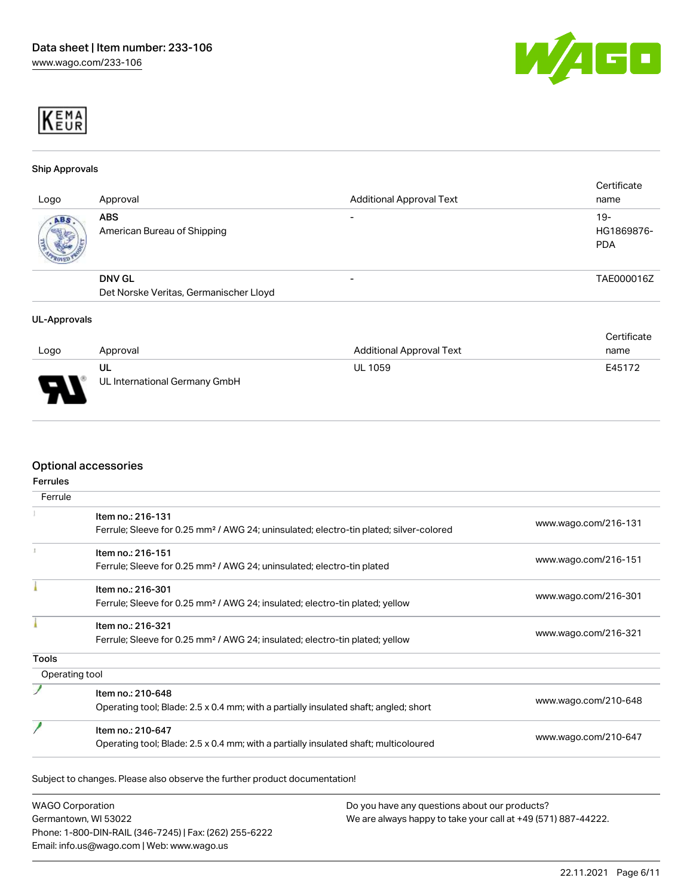



#### Ship Approvals

| Logo | Approval                                                | <b>Additional Approval Text</b> | Certificate<br>name               |
|------|---------------------------------------------------------|---------------------------------|-----------------------------------|
| ABS  | <b>ABS</b><br>American Bureau of Shipping               |                                 | $19-$<br>HG1869876-<br><b>PDA</b> |
|      | <b>DNV GL</b><br>Det Norske Veritas, Germanischer Lloyd | -                               | TAE000016Z                        |

#### UL-Approvals

|      |                               |                          | Certificate |
|------|-------------------------------|--------------------------|-------------|
| Logo | Approval                      | Additional Approval Text | name        |
|      | UL                            | <b>UL 1059</b>           | E45172      |
| J    | UL International Germany GmbH |                          |             |

#### Optional accessories

| Ferrule        |                                                                                                    |                      |
|----------------|----------------------------------------------------------------------------------------------------|----------------------|
|                | Item no.: 216-131                                                                                  | www.wago.com/216-131 |
|                | Ferrule; Sleeve for 0.25 mm <sup>2</sup> / AWG 24; uninsulated; electro-tin plated; silver-colored |                      |
|                | Item no.: 216-151                                                                                  |                      |
|                | Ferrule; Sleeve for 0.25 mm <sup>2</sup> / AWG 24; uninsulated; electro-tin plated                 | www.wago.com/216-151 |
|                | Item no.: 216-301                                                                                  |                      |
|                | Ferrule; Sleeve for 0.25 mm <sup>2</sup> / AWG 24; insulated; electro-tin plated; yellow           | www.wago.com/216-301 |
|                | Item no.: 216-321                                                                                  |                      |
|                | Ferrule; Sleeve for 0.25 mm <sup>2</sup> / AWG 24; insulated; electro-tin plated; yellow           | www.wago.com/216-321 |
| <b>Tools</b>   |                                                                                                    |                      |
| Operating tool |                                                                                                    |                      |
|                | Item no.: 210-648                                                                                  |                      |
|                | Operating tool; Blade: 2.5 x 0.4 mm; with a partially insulated shaft; angled; short               | www.wago.com/210-648 |
|                | Item no.: 210-647                                                                                  |                      |
|                | Operating tool; Blade: 2.5 x 0.4 mm; with a partially insulated shaft; multicoloured               | www.wago.com/210-647 |

WAGO Corporation Germantown, WI 53022 Phone: 1-800-DIN-RAIL (346-7245) | Fax: (262) 255-6222 Email: info.us@wago.com | Web: www.wago.us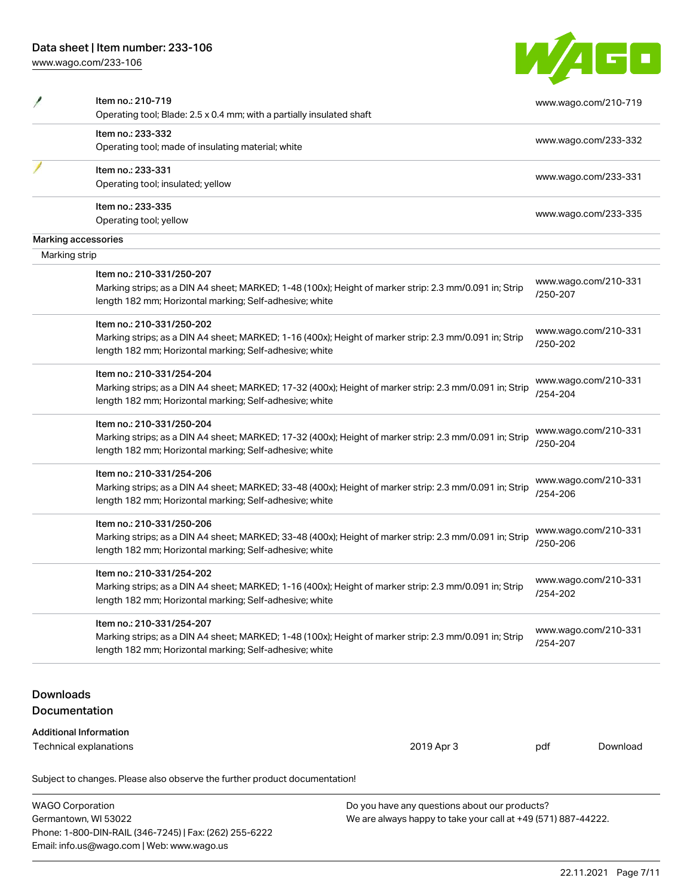Phone: 1-800-DIN-RAIL (346-7245) | Fax: (262) 255-6222

Email: info.us@wago.com | Web: www.wago.us

[www.wago.com/233-106](http://www.wago.com/233-106)

| × | and the con- |  |
|---|--------------|--|
|   |              |  |
|   |              |  |

| Item no.: 210-719<br>Operating tool; Blade: 2.5 x 0.4 mm; with a partially insulated shaft |                                                                                                         |                                                               |          | www.wago.com/210-719 |
|--------------------------------------------------------------------------------------------|---------------------------------------------------------------------------------------------------------|---------------------------------------------------------------|----------|----------------------|
|                                                                                            | Item no.: 233-332                                                                                       |                                                               |          |                      |
|                                                                                            | Operating tool; made of insulating material; white                                                      |                                                               |          | www.wago.com/233-332 |
|                                                                                            | Item no.: 233-331                                                                                       |                                                               |          |                      |
|                                                                                            | Operating tool; insulated; yellow                                                                       |                                                               |          | www.wago.com/233-331 |
|                                                                                            | Item no.: 233-335                                                                                       |                                                               |          |                      |
|                                                                                            | Operating tool; yellow                                                                                  |                                                               |          | www.wago.com/233-335 |
|                                                                                            | Marking accessories                                                                                     |                                                               |          |                      |
| Marking strip                                                                              |                                                                                                         |                                                               |          |                      |
|                                                                                            | Item no.: 210-331/250-207                                                                               |                                                               |          |                      |
|                                                                                            | Marking strips; as a DIN A4 sheet; MARKED; 1-48 (100x); Height of marker strip: 2.3 mm/0.091 in; Strip  |                                                               | /250-207 | www.wago.com/210-331 |
|                                                                                            | length 182 mm; Horizontal marking; Self-adhesive; white                                                 |                                                               |          |                      |
|                                                                                            | Item no.: 210-331/250-202                                                                               |                                                               |          |                      |
|                                                                                            | Marking strips; as a DIN A4 sheet; MARKED; 1-16 (400x); Height of marker strip: 2.3 mm/0.091 in; Strip  |                                                               | /250-202 | www.wago.com/210-331 |
|                                                                                            | length 182 mm; Horizontal marking; Self-adhesive; white                                                 |                                                               |          |                      |
|                                                                                            | Item no.: 210-331/254-204                                                                               |                                                               |          |                      |
|                                                                                            | Marking strips; as a DIN A4 sheet; MARKED; 17-32 (400x); Height of marker strip: 2.3 mm/0.091 in; Strip |                                                               | /254-204 | www.wago.com/210-331 |
|                                                                                            | length 182 mm; Horizontal marking; Self-adhesive; white                                                 |                                                               |          |                      |
|                                                                                            | Item no.: 210-331/250-204                                                                               |                                                               |          |                      |
|                                                                                            | Marking strips; as a DIN A4 sheet; MARKED; 17-32 (400x); Height of marker strip: 2.3 mm/0.091 in; Strip |                                                               | /250-204 | www.wago.com/210-331 |
|                                                                                            | length 182 mm; Horizontal marking; Self-adhesive; white                                                 |                                                               |          |                      |
|                                                                                            | Item no.: 210-331/254-206                                                                               |                                                               |          |                      |
|                                                                                            | Marking strips; as a DIN A4 sheet; MARKED; 33-48 (400x); Height of marker strip: 2.3 mm/0.091 in; Strip |                                                               |          | www.wago.com/210-331 |
|                                                                                            | length 182 mm; Horizontal marking; Self-adhesive; white                                                 |                                                               | /254-206 |                      |
|                                                                                            | Item no.: 210-331/250-206                                                                               |                                                               |          |                      |
|                                                                                            | Marking strips; as a DIN A4 sheet; MARKED; 33-48 (400x); Height of marker strip: 2.3 mm/0.091 in; Strip |                                                               | /250-206 | www.wago.com/210-331 |
|                                                                                            | length 182 mm; Horizontal marking; Self-adhesive; white                                                 |                                                               |          |                      |
|                                                                                            | Item no.: 210-331/254-202                                                                               |                                                               |          |                      |
|                                                                                            | Marking strips; as a DIN A4 sheet; MARKED; 1-16 (400x); Height of marker strip: 2.3 mm/0.091 in; Strip  |                                                               | /254-202 | www.wago.com/210-331 |
|                                                                                            | length 182 mm; Horizontal marking; Self-adhesive; white                                                 |                                                               |          |                      |
|                                                                                            | Item no.: 210-331/254-207                                                                               |                                                               |          |                      |
|                                                                                            | Marking strips; as a DIN A4 sheet; MARKED; 1-48 (100x); Height of marker strip: 2.3 mm/0.091 in; Strip  |                                                               |          | www.wago.com/210-331 |
|                                                                                            | length 182 mm; Horizontal marking; Self-adhesive; white                                                 |                                                               | /254-207 |                      |
|                                                                                            |                                                                                                         |                                                               |          |                      |
| <b>Downloads</b>                                                                           |                                                                                                         |                                                               |          |                      |
|                                                                                            | <b>Documentation</b>                                                                                    |                                                               |          |                      |
|                                                                                            | <b>Additional Information</b>                                                                           |                                                               |          |                      |
|                                                                                            | Technical explanations                                                                                  | 2019 Apr 3                                                    | pdf      | Download             |
|                                                                                            |                                                                                                         |                                                               |          |                      |
|                                                                                            | Subject to changes. Please also observe the further product documentation!                              |                                                               |          |                      |
|                                                                                            | <b>WAGO Corporation</b>                                                                                 | Do you have any questions about our products?                 |          |                      |
|                                                                                            | Germantown, WI 53022                                                                                    | We are always happy to take your call at +49 (571) 887-44222. |          |                      |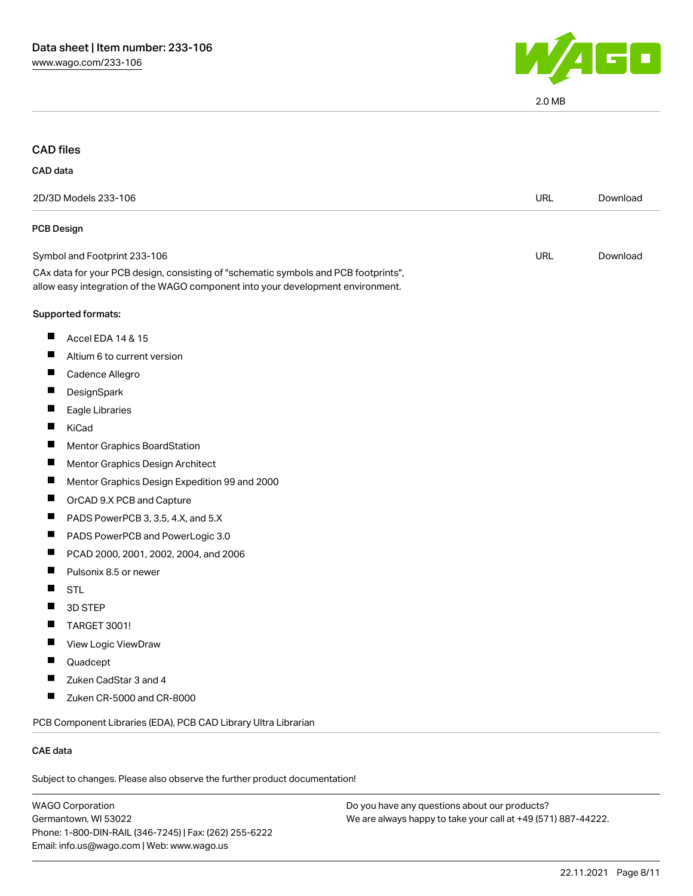

2.0 MB

# CAD files

#### CAD data

| 2D/3D Models 233-106                                                                                                                                                   | URL        | Download |
|------------------------------------------------------------------------------------------------------------------------------------------------------------------------|------------|----------|
| PCB Design                                                                                                                                                             |            |          |
| Symbol and Footprint 233-106                                                                                                                                           | <b>URL</b> | Download |
| CAx data for your PCB design, consisting of "schematic symbols and PCB footprints",<br>allow easy integration of the WAGO component into your development environment. |            |          |
| Supported formats:                                                                                                                                                     |            |          |
| Accel EDA 14 & 15<br>щ                                                                                                                                                 |            |          |
| ш<br>Altium 6 to current version                                                                                                                                       |            |          |
| Ш<br>Cadence Allegro                                                                                                                                                   |            |          |
| ш<br>DesignSpark                                                                                                                                                       |            |          |
| Ш<br>Eagle Libraries                                                                                                                                                   |            |          |
| KiCad<br>Ш                                                                                                                                                             |            |          |
| п<br>Mentor Graphics BoardStation                                                                                                                                      |            |          |
| ш<br>Mentor Graphics Design Architect                                                                                                                                  |            |          |
| ш<br>Mentor Graphics Design Expedition 99 and 2000                                                                                                                     |            |          |
| Ш<br>OrCAD 9.X PCB and Capture                                                                                                                                         |            |          |
| ш<br>PADS PowerPCB 3, 3.5, 4.X, and 5.X                                                                                                                                |            |          |
| ш<br>PADS PowerPCB and PowerLogic 3.0                                                                                                                                  |            |          |
| PCAD 2000, 2001, 2002, 2004, and 2006<br>ш                                                                                                                             |            |          |
| Ш<br>Pulsonix 8.5 or newer                                                                                                                                             |            |          |
| ш<br><b>STL</b>                                                                                                                                                        |            |          |
| 3D STEP<br>ш                                                                                                                                                           |            |          |
| ш<br><b>TARGET 3001!</b>                                                                                                                                               |            |          |
| View Logic ViewDraw<br>Ш                                                                                                                                               |            |          |
| Quadcept                                                                                                                                                               |            |          |
| Zuken CadStar 3 and 4<br>Ш                                                                                                                                             |            |          |
| ш<br>Zuken CR-5000 and CR-8000                                                                                                                                         |            |          |
| PCB Component Libraries (EDA), PCB CAD Library Ultra Librarian                                                                                                         |            |          |
| <b>CAE</b> data                                                                                                                                                        |            |          |

Subject to changes. Please also observe the further product documentation!

WAGO Corporation Germantown, WI 53022 Phone: 1-800-DIN-RAIL (346-7245) | Fax: (262) 255-6222 Email: info.us@wago.com | Web: www.wago.us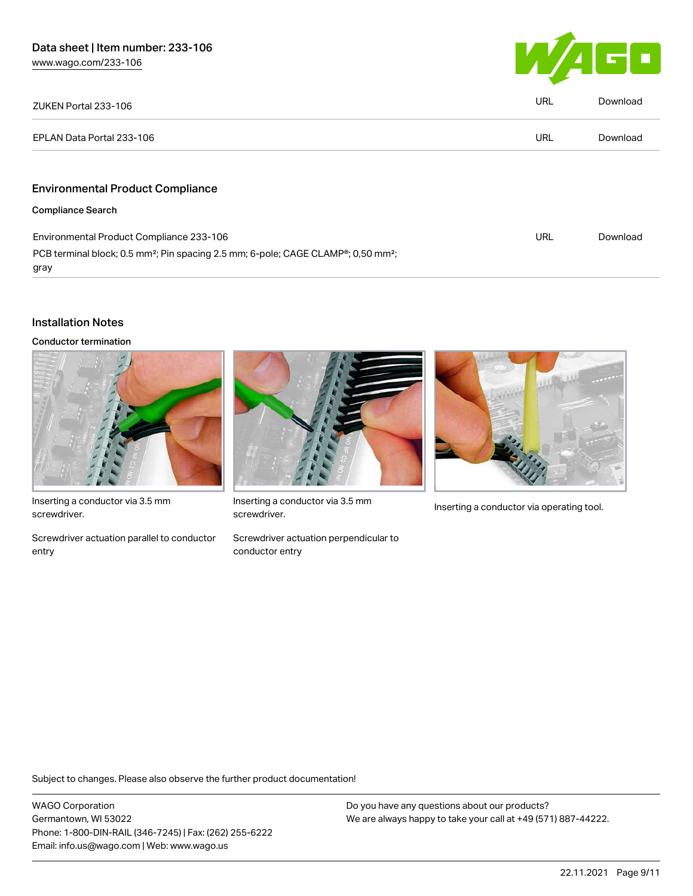

| ZUKEN Portal 233-106                                                                                                   | <b>URL</b> | Download |
|------------------------------------------------------------------------------------------------------------------------|------------|----------|
| EPLAN Data Portal 233-106                                                                                              | URL        | Download |
| <b>Environmental Product Compliance</b>                                                                                |            |          |
| <b>Compliance Search</b>                                                                                               |            |          |
| Environmental Product Compliance 233-106                                                                               | URL        | Download |
| PCB terminal block; 0.5 mm <sup>2</sup> ; Pin spacing 2.5 mm; 6-pole; CAGE CLAMP <sup>®</sup> ; 0,50 mm <sup>2</sup> ; |            |          |

#### Installation Notes

gray

Conductor termination



Inserting a conductor via 3.5 mm screwdriver.

Screwdriver actuation parallel to conductor entry



Inserting a conductor via 3.5 mm<br>Inserting a conductor via operating tool. screwdriver.

Screwdriver actuation perpendicular to conductor entry



Subject to changes. Please also observe the further product documentation!

WAGO Corporation Germantown, WI 53022 Phone: 1-800-DIN-RAIL (346-7245) | Fax: (262) 255-6222 Email: info.us@wago.com | Web: www.wago.us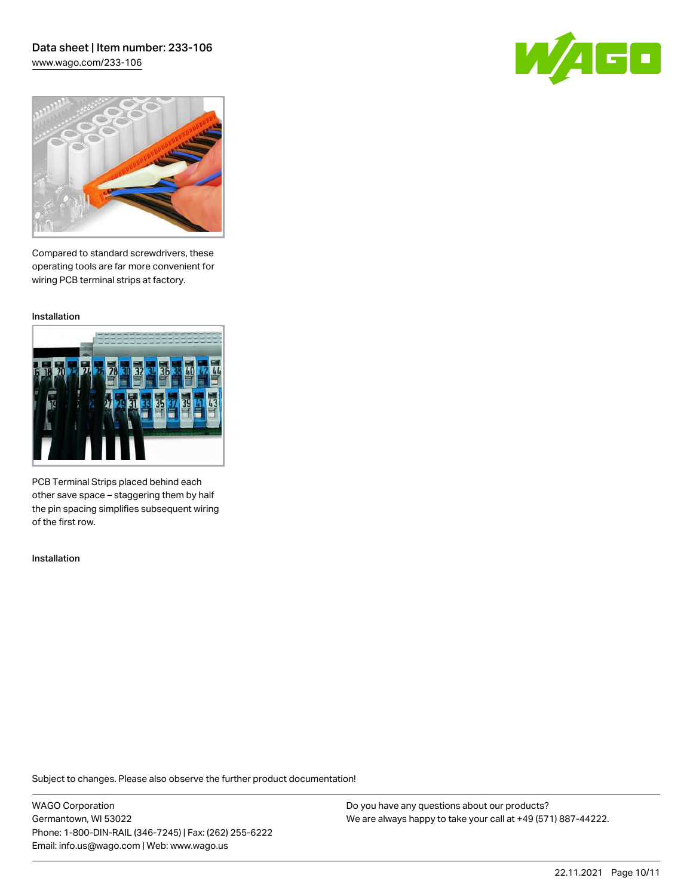# Data sheet | Item number: 233-106

[www.wago.com/233-106](http://www.wago.com/233-106)





Compared to standard screwdrivers, these operating tools are far more convenient for wiring PCB terminal strips at factory.

Installation



PCB Terminal Strips placed behind each other save space – staggering them by half the pin spacing simplifies subsequent wiring of the first row.

Installation

Subject to changes. Please also observe the further product documentation!

WAGO Corporation Germantown, WI 53022 Phone: 1-800-DIN-RAIL (346-7245) | Fax: (262) 255-6222 Email: info.us@wago.com | Web: www.wago.us